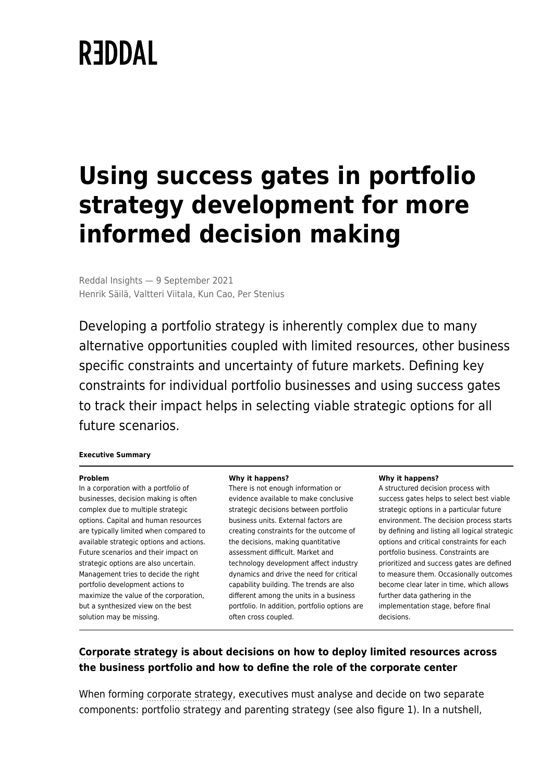# **REDDAL**

## **Using success gates in portfolio strategy development for more informed decision making**

Reddal Insights — 9 September 2021 Henrik Säilä, Valtteri Viitala, Kun Cao, Per Stenius

Developing a portfolio strategy is inherently complex due to many alternative opportunities coupled with limited resources, other business specific constraints and uncertainty of future markets. Defining key constraints for individual portfolio businesses and using success gates to track their impact helps in selecting viable strategic options for all future scenarios.

#### **Executive Summary**

#### **Problem**

In a corporation with a portfolio of businesses, decision making is often complex due to multiple strategic options. Capital and human resources are typically limited when compared to available strategic options and actions. Future scenarios and their impact on strategic options are also uncertain. Management tries to decide the right portfolio development actions to maximize the value of the corporation, but a synthesized view on the best solution may be missing.

#### **Why it happens?**

There is not enough information or evidence available to make conclusive strategic decisions between portfolio business units. External factors are creating constraints for the outcome of the decisions, making quantitative assessment difficult. Market and technology development affect industry dynamics and drive the need for critical capability building. The trends are also different among the units in a business portfolio. In addition, portfolio options are often cross coupled.

#### **Why it happens?**

A structured decision process with success gates helps to select best viable strategic options in a particular future environment. The decision process starts by defining and listing all logical strategic options and critical constraints for each portfolio business. Constraints are prioritized and success gates are defined to measure them. Occasionally outcomes become clear later in time, which allows further data gathering in the implementation stage, before final decisions.

#### **[Corporate strategy](https://www.reddal.com/expertise/strategy/) is about decisions on how to deploy limited resources across the business portfolio and how to define the role of the corporate center**

When forming [corporate strategy,](https://www.reddal.com/expertise/strategy/) executives must analyse and decide on two separate components: portfolio strategy and parenting strategy (see also figure 1). In a nutshell,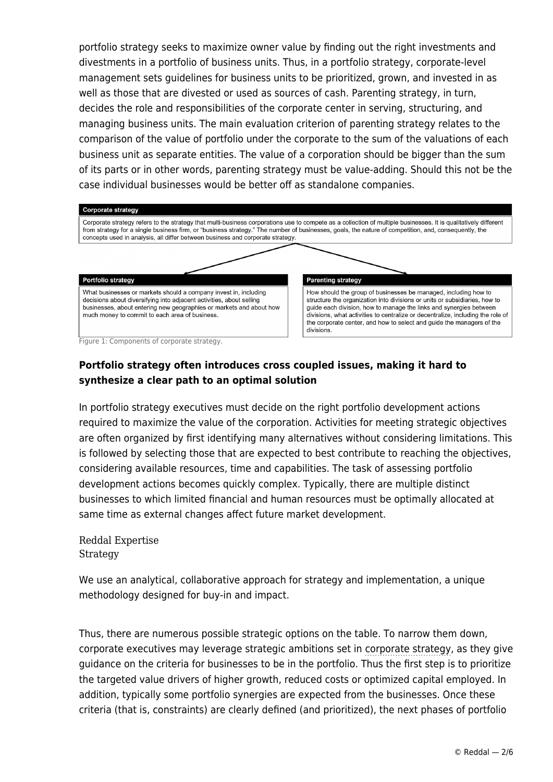portfolio strategy seeks to maximize owner value by finding out the right investments and divestments in a portfolio of business units. Thus, in a portfolio strategy, corporate-level management sets guidelines for business units to be prioritized, grown, and invested in as well as those that are divested or used as sources of cash. Parenting strategy, in turn, decides the role and responsibilities of the corporate center in serving, structuring, and managing business units. The main evaluation criterion of parenting strategy relates to the comparison of the value of portfolio under the corporate to the sum of the valuations of each business unit as separate entities. The value of a corporation should be bigger than the sum of its parts or in other words, parenting strategy must be value-adding. Should this not be the case individual businesses would be better off as standalone companies.



Figure 1: Components of corporate strategy.

## **Portfolio strategy often introduces cross coupled issues, making it hard to synthesize a clear path to an optimal solution**

In portfolio strategy executives must decide on the right portfolio development actions required to maximize the value of the corporation. Activities for meeting strategic objectives are often organized by first identifying many alternatives without considering limitations. This is followed by selecting those that are expected to best contribute to reaching the objectives, considering available resources, time and capabilities. The task of assessing portfolio development actions becomes quickly complex. Typically, there are multiple distinct businesses to which limited financial and human resources must be optimally allocated at same time as external changes affect future market development.

Reddal Expertise **[Strategy](https://www.reddal.com/expertise/strategy/)** 

We use an analytical, collaborative approach for strategy and implementation, a unique methodology designed for buy-in and impact.

Thus, there are numerous possible strategic options on the table. To narrow them down, corporate executives may leverage strategic ambitions set in [corporate strategy,](https://www.reddal.com/expertise/strategy/) as they give guidance on the criteria for businesses to be in the portfolio. Thus the first step is to prioritize the targeted value drivers of higher growth, reduced costs or optimized capital employed. In addition, typically some portfolio synergies are expected from the businesses. Once these criteria (that is, constraints) are clearly defined (and prioritized), the next phases of portfolio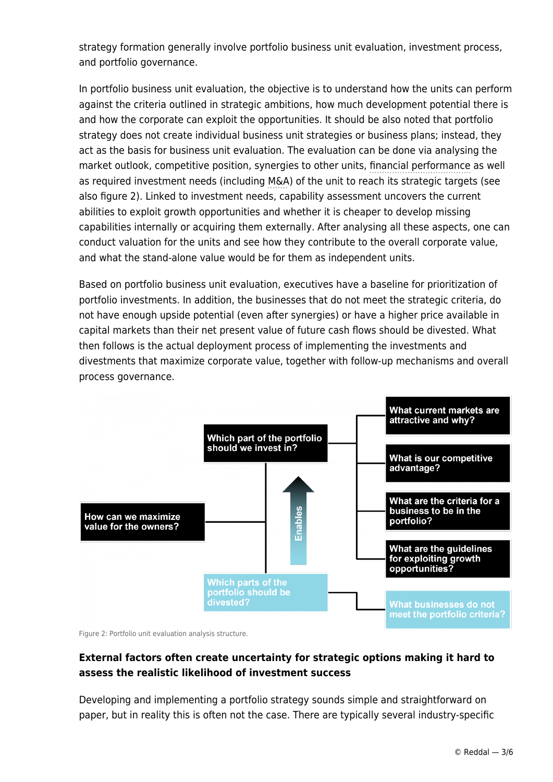strategy formation generally involve portfolio business unit evaluation, investment process, and portfolio governance.

In portfolio business unit evaluation, the objective is to understand how the units can perform against the criteria outlined in strategic ambitions, how much development potential there is and how the corporate can exploit the opportunities. It should be also noted that portfolio strategy does not create individual business unit strategies or business plans; instead, they act as the basis for business unit evaluation. The evaluation can be done via analysing the market outlook, competitive position, synergies to other units, [financial performance](https://www.reddal.com/expertise/financial-performance/) as well as required investment needs (including [M&A\)](https://www.reddal.com/expertise/ma-and-divestments/) of the unit to reach its strategic targets (see also figure 2). Linked to investment needs, capability assessment uncovers the current abilities to exploit growth opportunities and whether it is cheaper to develop missing capabilities internally or acquiring them externally. After analysing all these aspects, one can conduct valuation for the units and see how they contribute to the overall corporate value, and what the stand-alone value would be for them as independent units.

Based on portfolio business unit evaluation, executives have a baseline for prioritization of portfolio investments. In addition, the businesses that do not meet the strategic criteria, do not have enough upside potential (even after synergies) or have a higher price available in capital markets than their net present value of future cash flows should be divested. What then follows is the actual deployment process of implementing the investments and divestments that maximize corporate value, together with follow-up mechanisms and overall process governance.



Figure 2: Portfolio unit evaluation analysis structure.

## **External factors often create uncertainty for strategic options making it hard to assess the realistic likelihood of investment success**

Developing and implementing a portfolio strategy sounds simple and straightforward on paper, but in reality this is often not the case. There are typically several industry-specific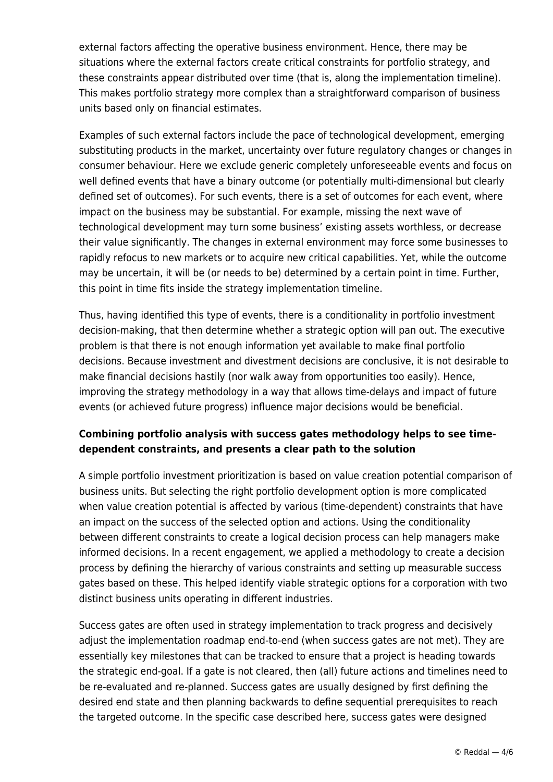external factors affecting the operative business environment. Hence, there may be situations where the external factors create critical constraints for portfolio strategy, and these constraints appear distributed over time (that is, along the implementation timeline). This makes portfolio strategy more complex than a straightforward comparison of business units based only on financial estimates.

Examples of such external factors include the pace of technological development, emerging substituting products in the market, uncertainty over future regulatory changes or changes in consumer behaviour. Here we exclude generic completely unforeseeable events and focus on well defined events that have a binary outcome (or potentially multi-dimensional but clearly defined set of outcomes). For such events, there is a set of outcomes for each event, where impact on the business may be substantial. For example, missing the next wave of technological development may turn some business' existing assets worthless, or decrease their value significantly. The changes in external environment may force some businesses to rapidly refocus to new markets or to acquire new critical capabilities. Yet, while the outcome may be uncertain, it will be (or needs to be) determined by a certain point in time. Further, this point in time fits inside the strategy implementation timeline.

Thus, having identified this type of events, there is a conditionality in portfolio investment decision-making, that then determine whether a strategic option will pan out. The executive problem is that there is not enough information yet available to make final portfolio decisions. Because investment and divestment decisions are conclusive, it is not desirable to make financial decisions hastily (nor walk away from opportunities too easily). Hence, improving the strategy methodology in a way that allows time-delays and impact of future events (or achieved future progress) influence major decisions would be beneficial.

## **Combining portfolio analysis with success gates methodology helps to see timedependent constraints, and presents a clear path to the solution**

A simple portfolio investment prioritization is based on value creation potential comparison of business units. But selecting the right portfolio development option is more complicated when value creation potential is affected by various (time-dependent) constraints that have an impact on the success of the selected option and actions. Using the conditionality between different constraints to create a logical decision process can help managers make informed decisions. In a recent engagement, we applied a methodology to create a decision process by defining the hierarchy of various constraints and setting up measurable success gates based on these. This helped identify viable strategic options for a corporation with two distinct business units operating in different industries.

Success gates are often used in strategy implementation to track progress and decisively adjust the implementation roadmap end-to-end (when success gates are not met). They are essentially key milestones that can be tracked to ensure that a project is heading towards the strategic end-goal. If a gate is not cleared, then (all) future actions and timelines need to be re-evaluated and re-planned. Success gates are usually designed by first defining the desired end state and then planning backwards to define sequential prerequisites to reach the targeted outcome. In the specific case described here, success gates were designed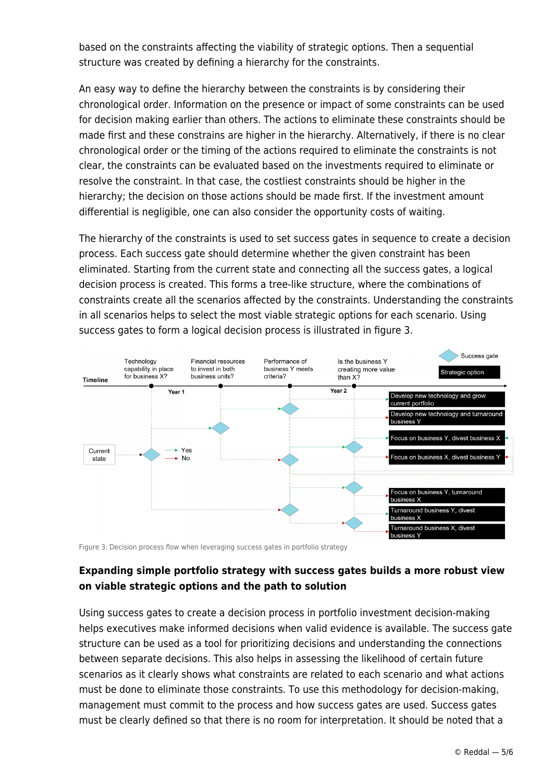based on the constraints affecting the viability of strategic options. Then a sequential structure was created by defining a hierarchy for the constraints.

An easy way to define the hierarchy between the constraints is by considering their chronological order. Information on the presence or impact of some constraints can be used for decision making earlier than others. The actions to eliminate these constraints should be made first and these constrains are higher in the hierarchy. Alternatively, if there is no clear chronological order or the timing of the actions required to eliminate the constraints is not clear, the constraints can be evaluated based on the investments required to eliminate or resolve the constraint. In that case, the costliest constraints should be higher in the hierarchy; the decision on those actions should be made first. If the investment amount differential is negligible, one can also consider the opportunity costs of waiting.

The hierarchy of the constraints is used to set success gates in sequence to create a decision process. Each success gate should determine whether the given constraint has been eliminated. Starting from the current state and connecting all the success gates, a logical decision process is created. This forms a tree-like structure, where the combinations of constraints create all the scenarios affected by the constraints. Understanding the constraints in all scenarios helps to select the most viable strategic options for each scenario. Using success gates to form a logical decision process is illustrated in figure 3.



Figure 3: Decision process flow when leveraging success gates in portfolio strategy

### **Expanding simple portfolio strategy with success gates builds a more robust view on viable strategic options and the path to solution**

Using success gates to create a decision process in portfolio investment decision-making helps executives make informed decisions when valid evidence is available. The success gate structure can be used as a tool for prioritizing decisions and understanding the connections between separate decisions. This also helps in assessing the likelihood of certain future scenarios as it clearly shows what constraints are related to each scenario and what actions must be done to eliminate those constraints. To use this methodology for decision-making, management must commit to the process and how success gates are used. Success gates must be clearly defined so that there is no room for interpretation. It should be noted that a